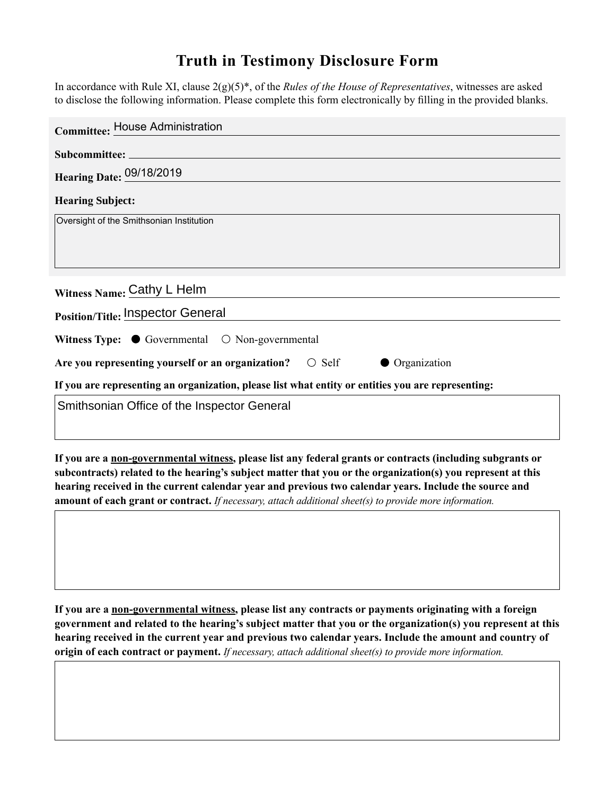## **Truth in Testimony Disclosure Form**

In accordance with Rule XI, clause 2(g)(5)\*, of the *Rules of the House of Representatives*, witnesses are asked to disclose the following information. Please complete this form electronically by filling in the provided blanks.

| <b>Committee: House Administration</b>                                                             |
|----------------------------------------------------------------------------------------------------|
|                                                                                                    |
| Hearing Date: 09/18/2019                                                                           |
| <b>Hearing Subject:</b>                                                                            |
| Oversight of the Smithsonian Institution                                                           |
|                                                                                                    |
|                                                                                                    |
| Witness Name: Cathy L Helm                                                                         |
| Position/Title: Inspector General                                                                  |
| Witness Type: $\bullet$ Governmental $\circ$ Non-governmental                                      |
| Are you representing yourself or an organization? $\circ$ Self<br>• Organization                   |
| If you are representing an organization, please list what entity or entities you are representing: |
| Smithsonian Office of the Inspector General                                                        |

**If you are a non-governmental witness, please list any federal grants or contracts (including subgrants or subcontracts) related to the hearing's subject matter that you or the organization(s) you represent at this hearing received in the current calendar year and previous two calendar years. Include the source and amount of each grant or contract.** *If necessary, attach additional sheet(s) to provide more information.*

**If you are a non-governmental witness, please list any contracts or payments originating with a foreign government and related to the hearing's subject matter that you or the organization(s) you represent at this hearing received in the current year and previous two calendar years. Include the amount and country of origin of each contract or payment.** *If necessary, attach additional sheet(s) to provide more information.*